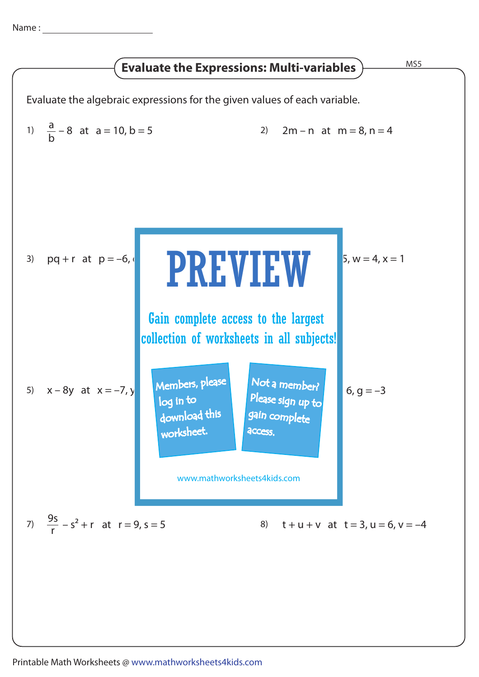